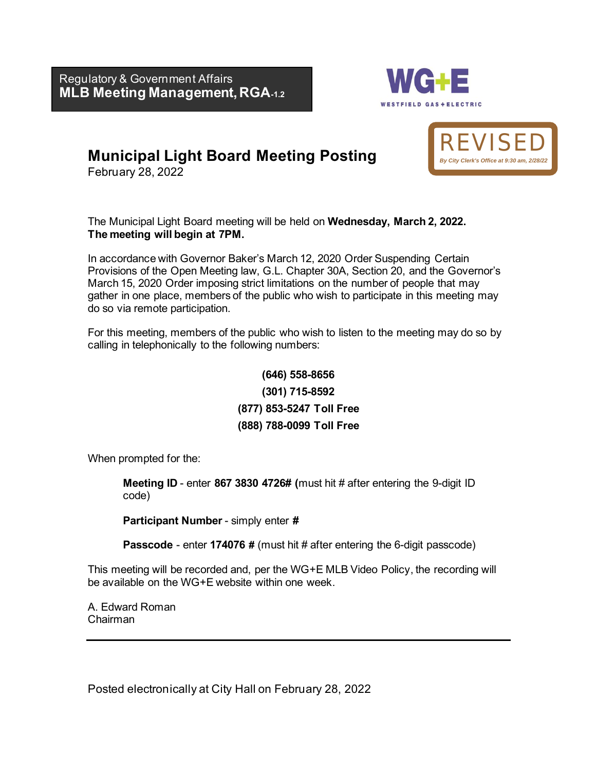**MLB Meeting Management, RGA-1.2**  Regulatory & Government Affairs



# **Municipal Light Board Meeting Posting**

February 28, 2022

The Municipal Light Board meeting will be held on **Wednesday, March 2, 2022. The meeting will begin at 7PM.** 

In accordance with Governor Baker's March 12, 2020 Order Suspending Certain Provisions of the Open Meeting law, G.L. Chapter 30A, Section 20, and the Governor's March 15, 2020 Order imposing strict limitations on the number of people that may gather in one place, members of the public who wish to participate in this meeting may do so via remote participation.

For this meeting, members of the public who wish to listen to the meeting may do so by calling in telephonically to the following numbers:

> **[\(646\)](tel:+1.857.444.6500,,916580061) 558-8656 (301) 715-8592 (877) 853-5247 Toll Free (888) 788-0099 Toll Free**

When prompted for the:

**Meeting ID** - enter **867 3830 4726# (**must hit # after entering the 9-digit ID code)

**Participant Number** - simply enter **#** 

**Passcode** - enter **174076 #** (must hit # after entering the 6-digit passcode)

This meeting will be recorded and, per the WG+E MLB Video Policy, the recording will be available on the WG+E website within one week.

A. Edward Roman Chairman

Posted electronically at City Hall on February 28, 2022

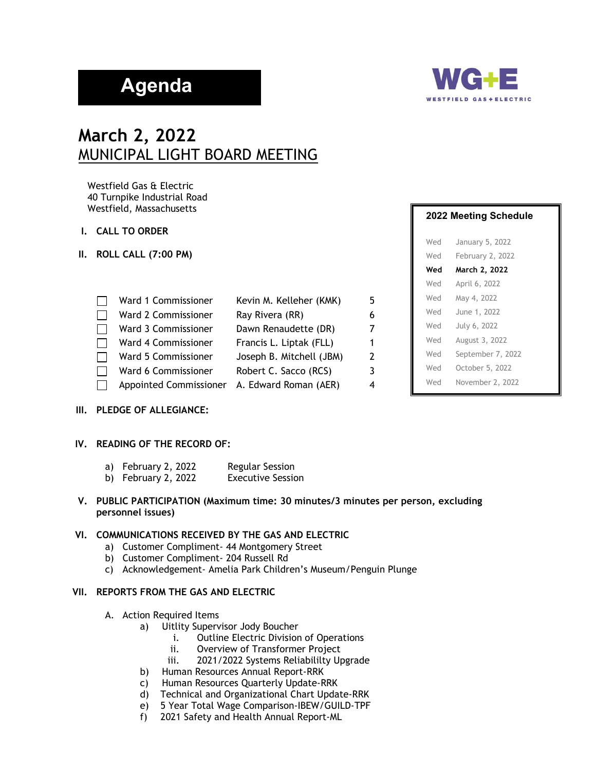# **Agenda**



# **March 2, 2022** MUNICIPAL LIGHT BOARD MEETING

Westfield Gas & Electric 40 Turnpike Industrial Road Westfield, Massachusetts

- **I. CALL TO ORDER**
- **II. ROLL CALL (7:00 PM)**

| Ward 1 Commissioner    | Kevin M. Kelleher (KMK)  | 5 |
|------------------------|--------------------------|---|
| Ward 2 Commissioner    | Ray Rivera (RR)          | 6 |
| Ward 3 Commissioner    | Dawn Renaudette (DR)     | 7 |
| Ward 4 Commissioner    | Francis L. Liptak (FLL)  | 1 |
| Ward 5 Commissioner    | Joseph B. Mitchell (JBM) | 2 |
| Ward 6 Commissioner    | Robert C. Sacco (RCS)    | 3 |
| Appointed Commissioner | A. Edward Roman (AER)    | 4 |

#### **III. PLEDGE OF ALLEGIANCE:**

#### **IV. READING OF THE RECORD OF:**

- a) February 2, 2022 Regular Session
- b) February 2, 2022 Executive Session
- **V. PUBLIC PARTICIPATION (Maximum time: 30 minutes/3 minutes per person, excluding personnel issues)**

#### **VI. COMMUNICATIONS RECEIVED BY THE GAS AND ELECTRIC**

- a) Customer Compliment- 44 Montgomery Street
- b) Customer Compliment- 204 Russell Rd
- c) Acknowledgement- Amelia Park Children's Museum/Penguin Plunge

#### **VII. REPORTS FROM THE GAS AND ELECTRIC**

- A. Action Required Items
	- a) Uitlity Supervisor Jody Boucher
		- i. Outline Electric Division of Operations
		- ii. Overview of Transformer Project
		- iii. 2021/2022 Systems Reliabililty Upgrade
	- b) Human Resources Annual Report-RRK
	- c) Human Resources Quarterly Update-RRK
	- d) Technical and Organizational Chart Update-RRK
	- e) 5 Year Total Wage Comparison-IBEW/GUILD-TPF
	- f) 2021 Safety and Health Annual Report-ML

# **2022 Meeting Schedule**

| Wed | January 5, 2022   |
|-----|-------------------|
| Wed | February 2, 2022  |
| Wed | March 2, 2022     |
| Wed | April 6, 2022     |
| Wed | May 4, 2022       |
| Wed | June 1, 2022      |
| Wed | July 6, 2022      |
| Wed | August 3, 2022    |
| Wed | September 7, 2022 |
| Wed | October 5, 2022   |
| Wed | November 2, 2022  |